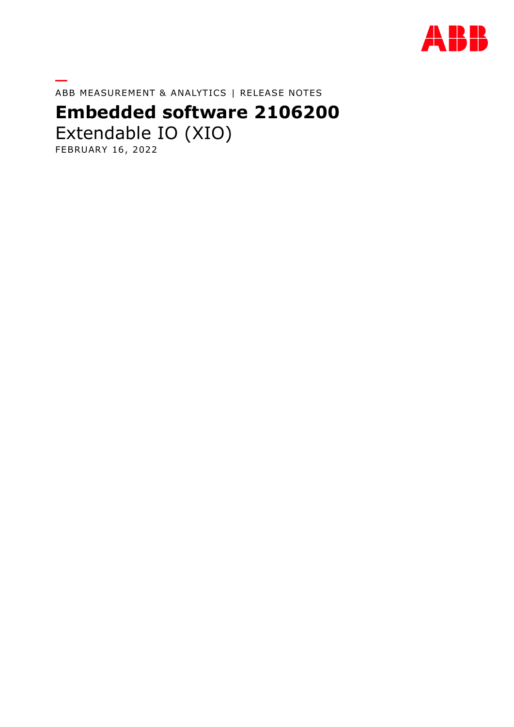

**—** ABB MEASUREMENT & ANALYTICS | RELEASE NOTES

# **Embedded software 2106200**

Extendable IO (XIO) FEBRUARY 16, 2022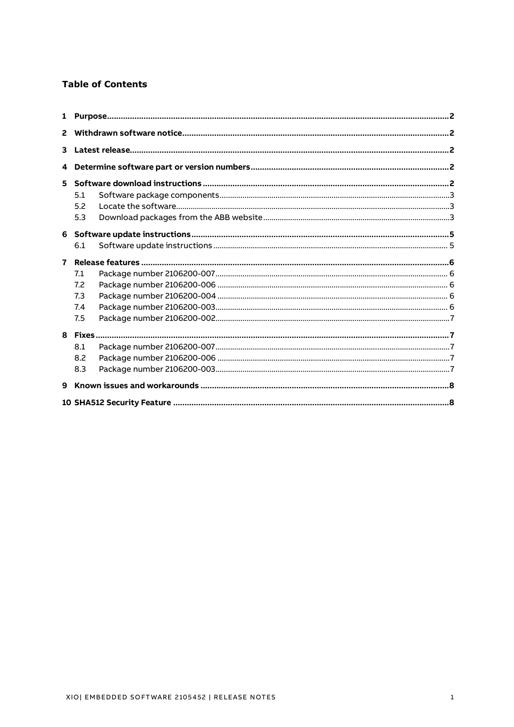#### **Table of Contents**

| $\overline{2}$ |     |  |  |  |  |
|----------------|-----|--|--|--|--|
| 3              |     |  |  |  |  |
|                |     |  |  |  |  |
| 5              |     |  |  |  |  |
|                | 5.1 |  |  |  |  |
|                | 5.2 |  |  |  |  |
|                | 5.3 |  |  |  |  |
| 6              |     |  |  |  |  |
|                | 6.1 |  |  |  |  |
| $\overline{ }$ |     |  |  |  |  |
|                | 7.1 |  |  |  |  |
|                | 7.2 |  |  |  |  |
|                | 7.3 |  |  |  |  |
|                | 7.4 |  |  |  |  |
|                | 7.5 |  |  |  |  |
|                |     |  |  |  |  |
|                | 8.1 |  |  |  |  |
|                | 8.2 |  |  |  |  |
|                | 8.3 |  |  |  |  |
| 9              |     |  |  |  |  |
|                |     |  |  |  |  |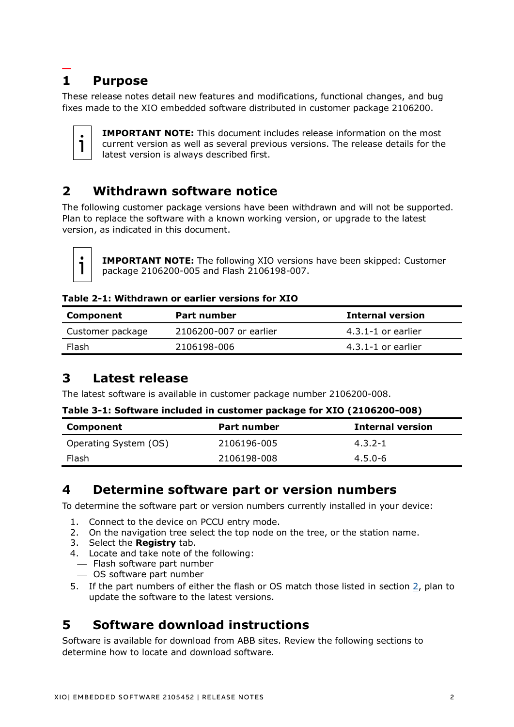### <span id="page-2-0"></span>**— 1 Purpose**

These release notes detail new features and modifications, functional changes, and bug fixes made to the XIO embedded software distributed in customer package 2106200.



**IMPORTANT NOTE:** This document includes release information on the most current version as well as several previous versions. The release details for the latest version is always described first.

# <span id="page-2-1"></span>**2 Withdrawn software notice**

The following customer package versions have been withdrawn and will not be supported. Plan to replace the software with a known working version, or upgrade to the latest version, as indicated in this document.



**IMPORTANT NOTE:** The following XIO versions have been skipped: Customer package 2106200-005 and Flash 2106198-007.

#### **Table 2-1: Withdrawn or earlier versions for XIO**

| Component        | Part number            | <b>Internal version</b> |
|------------------|------------------------|-------------------------|
| Customer package | 2106200-007 or earlier | $4.3.1 - 1$ or earlier  |
| Flash            | 2106198-006            | $4.3.1 - 1$ or earlier  |

# <span id="page-2-2"></span>**3 Latest release**

The latest software is available in customer package number 2106200-008.

#### **Table 3-1: Software included in customer package for XIO (2106200-008)**

| Component             | Part number | <b>Internal version</b> |
|-----------------------|-------------|-------------------------|
| Operating System (OS) | 2106196-005 | $4.3.2 - 1$             |
| Flash                 | 2106198-008 | $4.5.0 - 6$             |

# <span id="page-2-3"></span>**4 Determine software part or version numbers**

To determine the software part or version numbers currently installed in your device:

- 1. Connect to the device on PCCU entry mode.
- 2. On the navigation tree select the top node on the tree, or the station name.
- 3. Select the **Registry** tab.
- 4. Locate and take note of the following:
- ⎯ Flash software part number
- ⎯ OS software part number
- 5. If the part numbers of either the flash or OS match those listed in section [2,](#page-2-1) plan to update the software to the latest versions.

# <span id="page-2-4"></span>**5 Software download instructions**

Software is available for download from ABB sites. Review the following sections to determine how to locate and download software.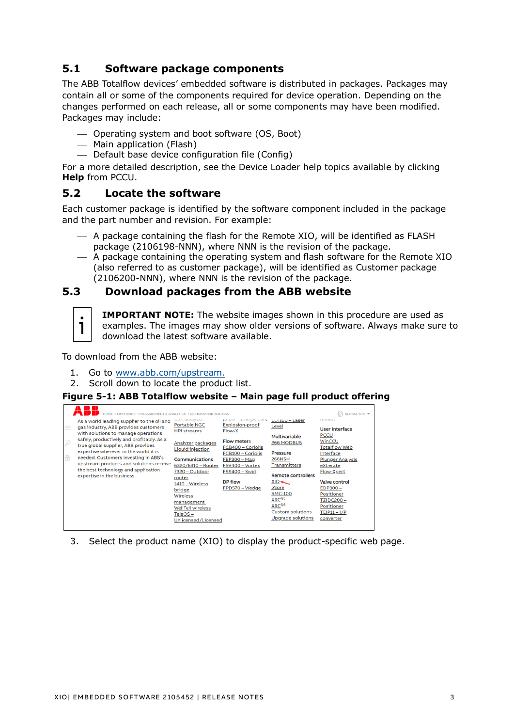### <span id="page-3-0"></span>**5.1 Software package components**

The ABB Totalflow devices' embedded software is distributed in packages. Packages may contain all or some of the components required for device operation. Depending on the changes performed on each release, all or some components may have been modified. Packages may include:

- ⎯ Operating system and boot software (OS, Boot)
- ⎯ Main application (Flash)
- $-$  Default base device configuration file (Config)

For a more detailed description, see the Device Loader help topics available by clicking **Help** from PCCU.

### <span id="page-3-1"></span>**5.2 Locate the software**

Each customer package is identified by the software component included in the package and the part number and revision. For example:

- $-$  A package containing the flash for the Remote XIO, will be identified as FLASH package (2106198-NNN), where NNN is the revision of the package.
- $-$  A package containing the operating system and flash software for the Remote XIO (also referred to as customer package), will be identified as Customer package (2106200-NNN), where NNN is the revision of the package.

### <span id="page-3-2"></span>**5.3 Download packages from the ABB website**



**IMPORTANT NOTE:** The website images shown in this procedure are used as examples. The images may show older versions of software. Always make sure to download the latest software available.

To download from the ABB website:

- 1. Go to [www.abb.com/upstream.](http://www.abb.com/upstream)
- 2. Scroll down to locate the product list.

#### **Figure 5-1: ABB Totalflow website – Main page full product offering**

| 11 I D<br>HOME + OFFERINGS + MEASUREMENT & ANALYTICS + UPSTREAM OIL AND GAS                                                                                                                                                                                                                                                                                                                                                         |                                                                                                                                                                                                                                                                                     |                                                                                                                                                                                                                          |                                                                                                                                                                                                                                                                               | GLOBAL SITE ▼                                                                                                                                                                                                                                                                               |
|-------------------------------------------------------------------------------------------------------------------------------------------------------------------------------------------------------------------------------------------------------------------------------------------------------------------------------------------------------------------------------------------------------------------------------------|-------------------------------------------------------------------------------------------------------------------------------------------------------------------------------------------------------------------------------------------------------------------------------------|--------------------------------------------------------------------------------------------------------------------------------------------------------------------------------------------------------------------------|-------------------------------------------------------------------------------------------------------------------------------------------------------------------------------------------------------------------------------------------------------------------------------|---------------------------------------------------------------------------------------------------------------------------------------------------------------------------------------------------------------------------------------------------------------------------------------------|
| As a world leading supplier to the oil and<br>$\equiv$<br>gas industry, ABB provides customers<br>with solutions to manage operations<br>safely, productively and profitably. As a<br>₽<br>true global supplier, ABB provides<br>expertise wherever in the world it is<br>6<br>needed. Customers investing in ABB's<br>upstream products and solutions receive<br>the best technology and application<br>expertise in the business. | <b>Portable NGC</b><br><b>HPI streams</b><br>Analyzer packages<br>Liquid injection<br><b>Communications</b><br>6320/6310 - Router<br>7320 – Outdoor<br>router<br>1410 – Wireless<br>bridge<br>Wireless<br>management<br><b>WellTell wireless</b><br>TeleOS –<br>Unlicensed/Licensed | <u>Agaington and</u><br><b>Explosion-proof</b><br><b>Flow-X</b><br><b>Flow meters</b><br>FCB400 - Coriolis<br>FCB100 - Coriolis<br><b>FEP300 - Mag</b><br>FSV400 - Vortex<br>FSS400 - Swirl<br>DP flow<br>FPD570 – Wedge | $LLI$ 100 - Laser<br>Level<br>Multivariable<br>266 MODBUS<br><b>Pressure</b><br>266HSH<br>Transmitters<br><b>Remote controllers</b><br>$XIO \rightarrow$<br>Xcore<br><b>RMC-100</b><br>XRC <sup>G5</sup><br>XRC <sup>G4</sup><br><b>Custom solutions</b><br>Upgrade solutions | <b><i><u>EXEMPTED</u></i></b><br><b>User interface</b><br><b>PCCU</b><br>WinCCU<br><b>Totalflow Web</b><br>Interface<br><b>Plunger Analysis</b><br>eXLerate<br>Flow-Xpert<br><b>Valve control</b><br>EDP300-<br>Positioner<br><b>TZIDC200-</b><br>Positioner<br>$TEIP11 - I/P$<br>converter |

3. Select the product name (XIO) to display the product-specific web page.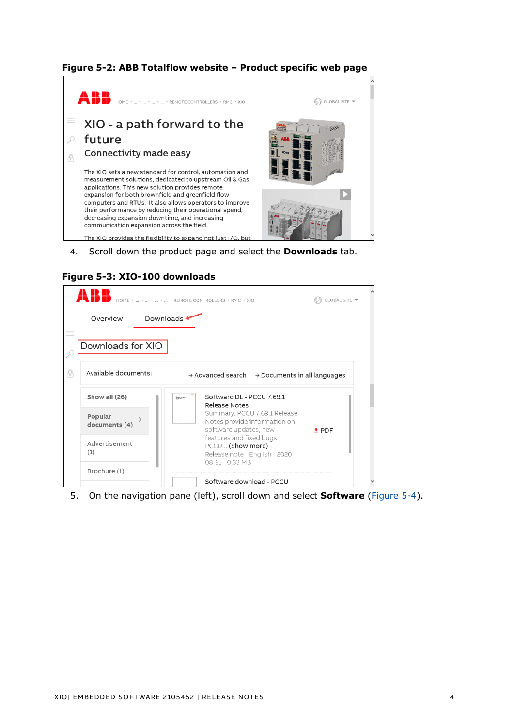### **Figure 5-2: ABB Totalflow website – Product specific web page**



4. Scroll down the product page and select the **Downloads** tab.

|                                        | HOME →  →  →  →  → REMOTE CONTROLLERS → RMC → XIO                                     | GLOBAL SITE ▼ |
|----------------------------------------|---------------------------------------------------------------------------------------|---------------|
| Downloads $\blacktriangle$<br>Overview |                                                                                       |               |
| Downloads for XIO                      |                                                                                       |               |
| Available documents:                   | $\rightarrow$ Advanced search $\rightarrow$ Documents in all languages                |               |
| Show all (26)                          | Software DL - PCCU 7.69.1<br>Register --<br>Release Notes                             |               |
| Popular<br>documents (4)               | Summary: PCCU 7.69.1 Release<br>Notes provide information on<br>software updates, new | $\pm$ PDF     |
| Advertisement<br>(1)                   | features and fixed bugs.<br>PCCU (Show more)<br>Release note - English - 2020-        |               |
|                                        | 08-21 - 0,33 MB                                                                       |               |

5. On the navigation pane (left), scroll down and select **Software** [\(Figure 5-4\)](#page-5-2).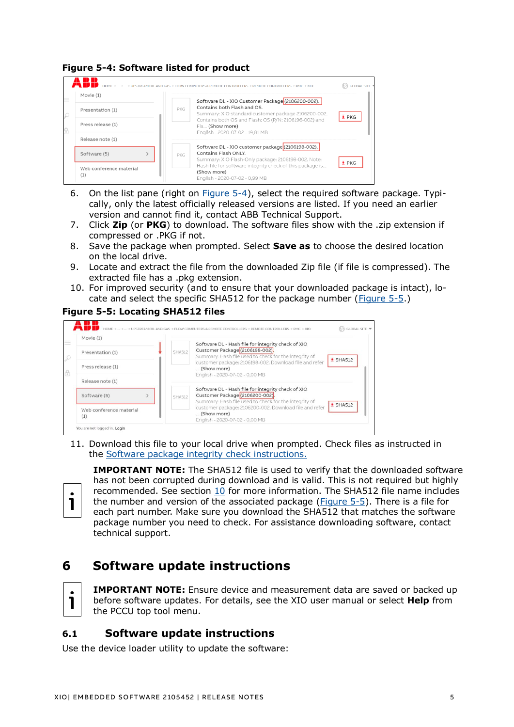### <span id="page-5-2"></span>**Figure 5-4: Software listed for product**



- 6. On the list pane (right on  $Figure 5-4$ ), select the required software package. Typically, only the latest officially released versions are listed. If you need an earlier version and cannot find it, contact ABB Technical Support.
- 7. Click **Zip** (or **PKG**) to download. The software files show with the .zip extension if compressed or .PKG if not.
- 8. Save the package when prompted. Select **Save as** to choose the desired location on the local drive.
- 9. Locate and extract the file from the downloaded Zip file (if file is compressed). The extracted file has a .pkg extension.
- 10. For improved security (and to ensure that your downloaded package is intact), lo-cate and select the specific SHA512 for the package number [\(Figure 5-5.](#page-5-3))

#### <span id="page-5-3"></span>**Figure 5-5: Locating SHA512 files**



11. Download this file to your local drive when prompted. Check files as instructed in the [Software package integrity check instructions.](https://search.abb.com/library/Download.aspx?DocumentID=ML%2F2107014&LanguageCode=en&DocumentPartId=2107014&Action=Launch)



**IMPORTANT NOTE:** The SHA512 file is used to verify that the downloaded software has not been corrupted during download and is valid. This is not required but highly recommended. See section [10](#page-8-1) for more information. The SHA512 file name includes the number and version of the associated package [\(Figure 5-5\)](#page-5-3). There is a file for each part number. Make sure you download the SHA512 that matches the software package number you need to check. For assistance downloading software, contact technical support.

# <span id="page-5-0"></span>**6 Software update instructions**



**IMPORTANT NOTE:** Ensure device and measurement data are saved or backed up before software updates. For details, see the XIO user manual or select **Help** from the PCCU top tool menu.

### <span id="page-5-1"></span>**6.1 Software update instructions**

Use the device loader utility to update the software: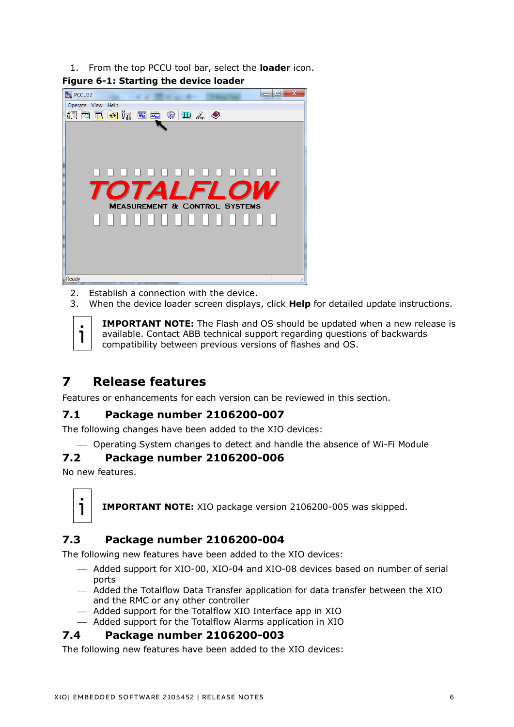1. From the top PCCU tool bar, select the **loader** icon.



2. Establish a connection with the device.

3. When the device loader screen displays, click **Help** for detailed update instructions.

**IMPORTANT NOTE:** The Flash and OS should be updated when a new release is available. Contact ABB technical support regarding questions of backwards compatibility between previous versions of flashes and OS.

# <span id="page-6-0"></span>**7 Release features**

Features or enhancements for each version can be reviewed in this section.

### <span id="page-6-1"></span>**7.1 Package number 2106200-007**

The following changes have been added to the XIO devices:

⎯ Operating System changes to detect and handle the absence of Wi-Fi Module

### <span id="page-6-2"></span>**7.2 Package number 2106200-006**

No new features.



**IMPORTANT NOTE:** XIO package version 2106200-005 was skipped.

# <span id="page-6-3"></span>**7.3 Package number 2106200-004**

The following new features have been added to the XIO devices:

- ⎯ Added support for XIO-00, XIO-04 and XIO-08 devices based on number of serial ports
- ⎯ Added the Totalflow Data Transfer application for data transfer between the XIO and the RMC or any other controller
- ⎯ Added support for the Totalflow XIO Interface app in XIO
- ⎯ Added support for the Totalflow Alarms application in XIO

### <span id="page-6-4"></span>**7.4 Package number 2106200-003**

The following new features have been added to the XIO devices: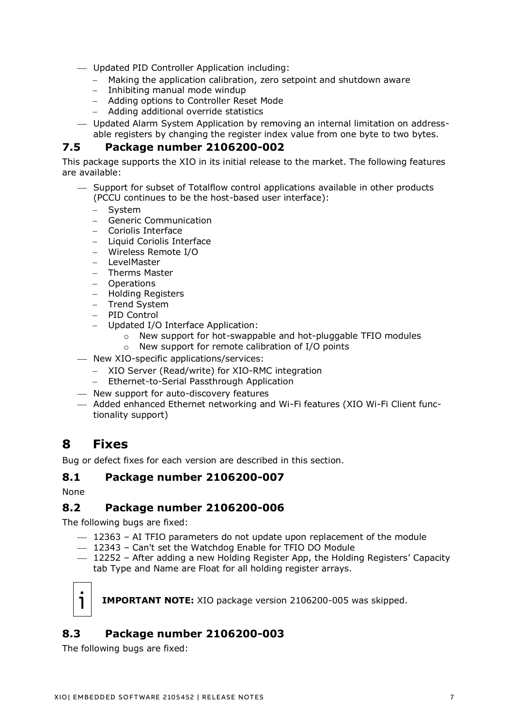⎯ Updated PID Controller Application including:

- − Making the application calibration, zero setpoint and shutdown aware
- − Inhibiting manual mode windup
- − Adding options to Controller Reset Mode
- − Adding additional override statistics
- ⎯ Updated Alarm System Application by removing an internal limitation on addressable registers by changing the register index value from one byte to two bytes.

#### <span id="page-7-0"></span>**7.5 Package number 2106200-002**

This package supports the XIO in its initial release to the market. The following features are available:

- ⎯ Support for subset of Totalflow control applications available in other products (PCCU continues to be the host-based user interface):
	- − System
	- − Generic Communication
	- − Coriolis Interface
	- − Liquid Coriolis Interface
	- − Wireless Remote I/O
	- − LevelMaster
	- − Therms Master
	- − Operations
	- − Holding Registers
	- − Trend System
	- − PID Control
	- Updated I/O Interface Application:
		- o New support for hot-swappable and hot-pluggable TFIO modules
		- o New support for remote calibration of I/O points
- $-$  New XIO-specific applications/services:
	- − XIO Server (Read/write) for XIO-RMC integration
	- − Ethernet-to-Serial Passthrough Application
- ⎯ New support for auto-discovery features
- ⎯ Added enhanced Ethernet networking and Wi-Fi features (XIO Wi-Fi Client functionality support)

# <span id="page-7-1"></span>**8 Fixes**

Bug or defect fixes for each version are described in this section.

### <span id="page-7-2"></span>**8.1 Package number 2106200-007**

None

### <span id="page-7-3"></span>**8.2 Package number 2106200-006**

The following bugs are fixed:

- $-$  12363 AI TFIO parameters do not update upon replacement of the module
- $-$  12343 Can't set the Watchdog Enable for TFIO DO Module
- ⎯ 12252 After adding a new Holding Register App, the Holding Registers' Capacity tab Type and Name are Float for all holding register arrays.



**IMPORTANT NOTE:** XIO package version 2106200-005 was skipped.

# <span id="page-7-4"></span>**8.3 Package number 2106200-003**

The following bugs are fixed: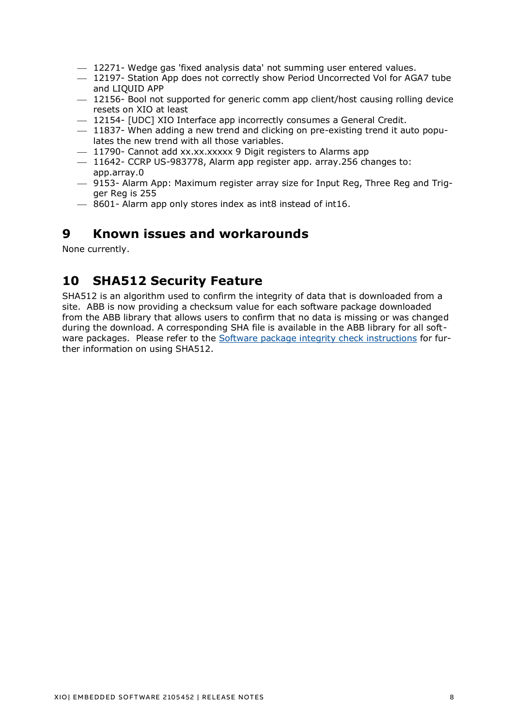- $-$  12271- Wedge gas 'fixed analysis data' not summing user entered values.
- $-$  12197- Station App does not correctly show Period Uncorrected Vol for AGA7 tube and LIQUID APP
- $-$  12156- Bool not supported for generic comm app client/host causing rolling device resets on XIO at least
- $-$  12154- [UDC] XIO Interface app incorrectly consumes a General Credit.
- $-$  11837- When adding a new trend and clicking on pre-existing trend it auto populates the new trend with all those variables.
- $-$  11790- Cannot add xx.xx.xxxxx 9 Digit registers to Alarms app
- $-$  11642- CCRP US-983778, Alarm app register app. array.256 changes to: app.array.0
- $-$  9153- Alarm App: Maximum register array size for Input Reg, Three Reg and Trigger Reg is 255
- ⎯ 8601- Alarm app only stores index as int8 instead of int16.

### <span id="page-8-0"></span>**9 Known issues and workarounds**

None currently.

# <span id="page-8-1"></span>**10 SHA512 Security Feature**

SHA512 is an algorithm used to confirm the integrity of data that is downloaded from a site. ABB is now providing a checksum value for each software package downloaded from the ABB library that allows users to confirm that no data is missing or was changed during the download. A corresponding SHA file is available in the ABB library for all software packages. Please refer to the [Software package integrity check instructions](https://search.abb.com/library/Download.aspx?DocumentID=ML%2F2107014&LanguageCode=en&DocumentPartId=2107014&Action=Launch) for further information on using SHA512.